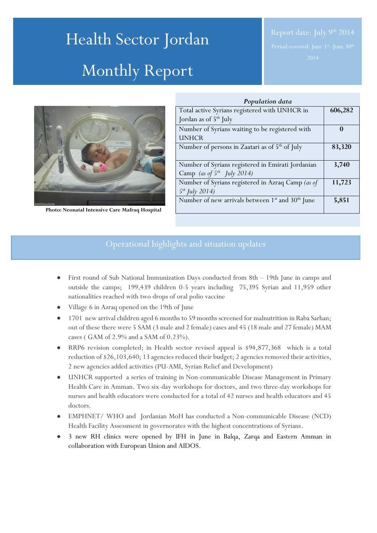# Health Sector Jordan Monthly Report



**Photo: Neonatal Intensive Care Mafraq Hospital**

| Population data                                                          |          |
|--------------------------------------------------------------------------|----------|
| Total active Syrians registered with UNHCR in                            | 606,282  |
| Jordan as of $5th$ July                                                  |          |
| Number of Syrians waiting to be registered with                          | $\Omega$ |
| <b>UNHCR</b>                                                             |          |
| Number of persons in Zaatari as of 5 <sup>th</sup> of July               | 83,320   |
|                                                                          |          |
| Number of Syrians registered in Emirati Jordanian                        | 3,740    |
| Camp (as of $5^{th}$ July 2014)                                          |          |
| Number of Syrians registered in Azraq Camp (as of                        | 11,723   |
| $5^{th}$ July 2014)                                                      |          |
| Number of new arrivals between 1 <sup>st</sup> and 30 <sup>th</sup> June | 5,851    |
|                                                                          |          |

# Operational highlights and situation updates

- First round of Sub National Immunization Days conducted from 8th 19th June in camps and outside the camps; 199,439 children 0-5 years including 75,395 Syrian and 11,959 other nationalities reached with two drops of oral polio vaccine
- Village 6 in Azraq opened on the 19th of June
- 1701 new arrival children aged 6 months to 59 months screened for malnutrition in Raba Sarhan; out of these there were 5 SAM (3 male and 2 female) cases and 45 (18 male and 27 female) MAM cases ( GAM of 2.9% and a SAM of 0.23%).
- RRP6 revision completed; in Health sector revised appeal is \$94,877,368 which is a total reduction of \$26,103,640; 13 agencies reduced their budget; 2 agencies removed their activities, 2 new agencies added activities (PU-AMI, Syrian Relief and Development)
- UNHCR supported a series of training in Non-communicable Disease Management in Primary Health Care in Amman. Two six-day workshops for doctors, and two three-day workshops for nurses and health educators were conducted for a total of 42 nurses and health educators and 45 doctors.
- EMPHNET/ WHO and Jordanian MoH has conducted a Non-communicable Disease (NCD) Health Facility Assessment in governorates with the highest concentrations of Syrians.
- 3 new RH clinics were opened by IFH in June in Balqa, Zarqa and Eastern Amman in collaboration with European Union and AIDOS.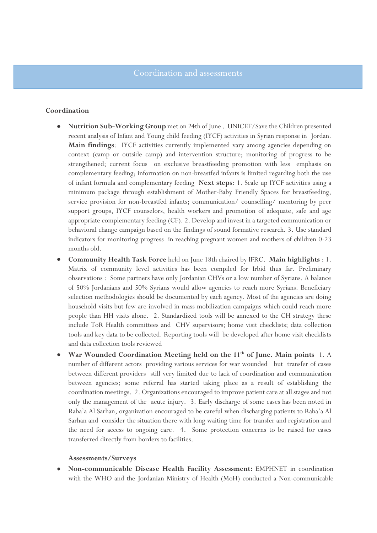#### **Coordination**

- **Nutrition Sub-Working Group** met on 24th of June . UNICEF/Save the Children presented recent analysis of Infant and Young child feeding (IYCF) activities in Syrian response in Jordan. **Main findings**: IYCF activities currently implemented vary among agencies depending on context (camp or outside camp) and intervention structure; monitoring of progress to be strengthened; current focus on exclusive breastfeeding promotion with less emphasis on complementary feeding; information on non-breastfed infants is limited regarding both the use of infant formula and complementary feeding **Next steps**: 1. Scale up IYCF activities using a minimum package through establishment of Mother-Baby Friendly Spaces for breastfeeding, service provision for non-breastfed infants; communication/ counselling/ mentoring by peer support groups, IYCF counselors, health workers and promotion of adequate, safe and age appropriate complementary feeding (CF). 2. Develop and invest in a targeted communication or behavioral change campaign based on the findings of sound formative research. 3. Use standard indicators for monitoring progress in reaching pregnant women and mothers of children 0-23 months old.
- **Community Health Task Force** held on June 18th chaired by IFRC. **Main highlights** : 1. Matrix of community level activities has been compiled for Irbid thus far. Preliminary observations : Some partners have only Jordanian CHVs or a low number of Syrians. A balance of 50% Jordanians and 50% Syrians would allow agencies to reach more Syrians. Beneficiary selection methodologies should be documented by each agency. Most of the agencies are doing household visits but few are involved in mass mobilization campaigns which could reach more people than HH visits alone. 2. Standardized tools will be annexed to the CH strategy these include ToR Health committees and CHV supervisors; home visit checklists; data collection tools and key data to be collected. Reporting tools will be developed after home visit checklists and data collection tools reviewed
- **War Wounded Coordination Meeting held on the 11th of June. Main points** 1. A number of different actors providing various services for war wounded but transfer of cases between different providers still very limited due to lack of coordination and communication between agencies; some referral has started taking place as a result of establishing the coordination meetings. 2. Organizations encouraged to improve patient care at all stages and not only the management of the acute injury. 3. Early discharge of some cases has been noted in Raba'a Al Sarhan, organization encouraged to be careful when discharging patients to Raba'a Al Sarhan and consider the situation there with long waiting time for transfer and registration and the need for access to ongoing care. 4. Some protection concerns to be raised for cases transferred directly from borders to facilities.

#### **Assessments/Surveys**

 **Non-communicable Disease Health Facility Assessment:** EMPHNET in coordination with the WHO and the Jordanian Ministry of Health (MoH) conducted a Non-communicable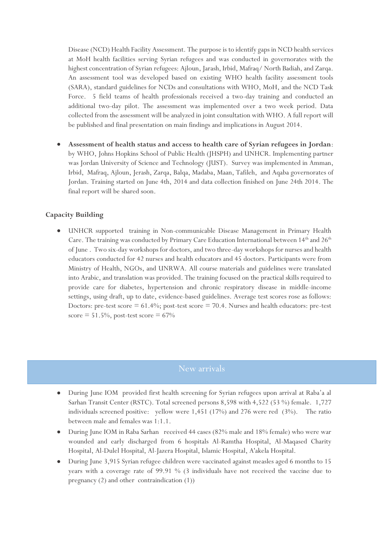Disease (NCD) Health Facility Assessment. The purpose is to identify gaps in NCD health services at MoH health facilities serving Syrian refugees and was conducted in governorates with the highest concentration of Syrian refugees: Ajloun, Jarash, Irbid, Mafraq/ North Badiah, and Zarqa. An assessment tool was developed based on existing WHO health facility assessment tools (SARA), standard guidelines for NCDs and consultations with WHO, MoH, and the NCD Task Force. 5 field teams of health professionals received a two-day training and conducted an additional two-day pilot. The assessment was implemented over a two week period. Data collected from the assessment will be analyzed in joint consultation with WHO. A full report will be published and final presentation on main findings and implications in August 2014.

 **Assessment of health status and access to health care of Syrian refugees in Jordan**: by WHO, Johns Hopkins School of Public Health (JHSPH) and UNHCR. Implementing partner was Jordan University of Science and Technology (JUST). Survey was implemented in Amman, Irbid, Mafraq, Ajloun, Jerash, Zarqa, Balqa, Madaba, Maan, Tafileh, and Aqaba governorates of Jordan. Training started on June 4th, 2014 and data collection finished on June 24th 2014. The final report will be shared soon.

### **Capacity Building**

 UNHCR supported training in Non-communicable Disease Management in Primary Health Care. The training was conducted by Primary Care Education International between  $14<sup>th</sup>$  and  $26<sup>th</sup>$ of June . Two six-day workshops for doctors, and two three-day workshops for nurses and health educators conducted for 42 nurses and health educators and 45 doctors. Participants were from Ministry of Health, NGOs, and UNRWA. All course materials and guidelines were translated into Arabic, and translation was provided. The training focused on the practical skills required to provide care for diabetes, hypertension and chronic respiratory disease in middle-income settings, using draft, up to date, evidence-based guidelines. Average test scores rose as follows: Doctors: pre-test score  $= 61.4\%$ ; post-test score  $= 70.4$ . Nurses and health educators: pre-test score  $= 51.5\%$ , post-test score  $= 67\%$ 

- During June IOM provided first health screening for Syrian refugees upon arrival at Raba'a al Sarhan Transit Center (RSTC). Total screened persons 8,598 with 4,522 (53 %) female. 1,727 individuals screened positive: yellow were 1,451 (17%) and 276 were red (3%). The ratio between male and females was 1:1.1.
- During June IOM in Raba Sarhan received 44 cases (82% male and 18% female) who were war wounded and early discharged from 6 hospitals Al-Ramtha Hospital, Al-Maqased Charity Hospital, Al-Dulel Hospital, Al-Jazera Hospital, Islamic Hospital, A'akela Hospital.
- During June 3,915 Syrian refugee children were vaccinated against measles aged 6 months to 15 years with a coverage rate of 99.91 % (3 individuals have not received the vaccine due to pregnancy (2) and other contraindication (1))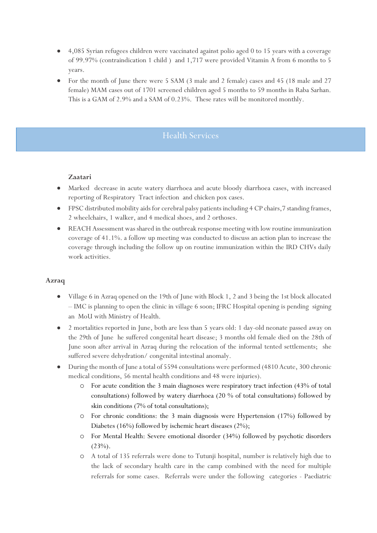- 4,085 Syrian refugees children were vaccinated against polio aged 0 to 15 years with a coverage of 99.97% (contraindication 1 child ) and 1,717 were provided Vitamin A from 6 months to 5 years.
- For the month of June there were 5 SAM (3 male and 2 female) cases and 45 (18 male and 27 female) MAM cases out of 1701 screened children aged 5 months to 59 months in Raba Sarhan. This is a GAM of 2.9% and a SAM of 0.23%. These rates will be monitored monthly.

# Health Services

### **Zaatari**

- Marked decrease in acute watery diarrhoea and acute bloody diarrhoea cases, with increased reporting of Respiratory Tract infection and chicken pox cases.
- FPSC distributed mobility aids for cerebral palsy patients including 4 CP chairs,7 standing frames, 2 wheelchairs, 1 walker, and 4 medical shoes, and 2 orthoses.
- REACH Assessment was shared in the outbreak response meeting with low routine immunization coverage of 41.1%. a follow up meeting was conducted to discuss an action plan to increase the coverage through including the follow up on routine immunization within the IRD CHVs daily work activities.

### **Azraq**

- Village 6 in Azraq opened on the 19th of June with Block 1, 2 and 3 being the 1st block allocated – IMC is planning to open the clinic in village 6 soon; IFRC Hospital opening is pending signing an MoU with Ministry of Health.
- 2 mortalities reported in June, both are less than 5 years old: 1 day-old neonate passed away on the 29th of June he suffered congenital heart disease; 3 months old female died on the 28th of June soon after arrival in Azraq during the relocation of the informal tented settlements; she suffered severe dehydration/ congenital intestinal anomaly.
- During the month of June a total of 5594 consultations were performed (4810 Acute, 300 chronic medical conditions, 56 mental health conditions and 48 were injuries).
	- o For acute condition the 3 main diagnoses were respiratory tract infection (43% of total consultations) followed by watery diarrhoea (20 % of total consultations) followed by skin conditions (7% of total consultations);
	- o For chronic conditions: the 3 main diagnosis were Hypertension (17%) followed by Diabetes (16%) followed by ischemic heart diseases (2%);
	- o For Mental Health: Severe emotional disorder (34%) followed by psychotic disorders  $(23%)$ .
	- o A total of 135 referrals were done to Tutunji hospital, number is relatively high due to the lack of secondary health care in the camp combined with the need for multiple referrals for some cases. Referrals were under the following categories - Paediatric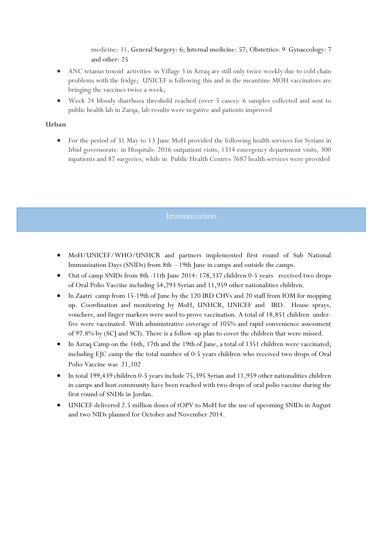medicine: 31, General Surgery: 6; Internal medicine: 57; Obstetrics: 9 Gynaecology: 7 and other: 25

- ANC tetanus toxoid activities in Village 3 in Azraq are still only twice weekly due to cold chain problems with the fridge; UNICEF is following this and in the meantime MOH vaccinators are bringing the vaccines twice a week;
- Week 24 bloody diarrhoea threshold reached (over 5 cases): 6 samples collected and sent to public health lab in Zarqa, lab results were negative and patients improved

### **Urban**

 For the period of 31 May to 13 June MoH provided the following health services for Syrians in Irbid governorate: in Hospitals: 2016 outpatient visits, 1314 emergency department visits, 300 inpatients and 87 surgeries; while in Public Health Centres 7687 health services were provided

- MoH/UNICEF/WHO/UNHCR and partners implemented first round of Sub National Immunization Days (SNIDs) from 8th – 19th June in camps and outside the camps.
- Out of camp SNIDs from 8th -11th June 2014: 178,337 children 0-5 years received two drops of Oral Polio Vaccine including 54,293 Syrian and 11,959 other nationalities children.
- In Zaatri camp from 15-19th of June by the 120 IRD CHVs and 20 staff from IOM for mopping up. Coordination and monitoring by MoH, UNHCR, UNICEF and IRD. House sprays, vouchers, and finger markers were used to prove vaccination. A total of 18,851 children underfive were vaccinated. With administrative coverage of 105% and rapid convenience assessment of 97.8% by (SCJ and SCI). There is a follow-up plan to cover the children that were missed.
- In Azraq Camp on the 16th, 17th and the 19th of June, a total of 1351 children were vaccinated; including EJC camp the the total number of 0-5 years children who received two drops of Oral Polio Vaccine was 21,102
- In total 199,439 children 0-5 years include 75,395 Syrian and 11,959 other nationalities children in camps and host community have been reached with two drops of oral polio vaccine during the first round of SNDIs in Jordan.
- UNICEF delivered 2.5 million doses of tOPV to MoH for the use of upcoming SNIDs in August and two NIDs planned for October and November 2014.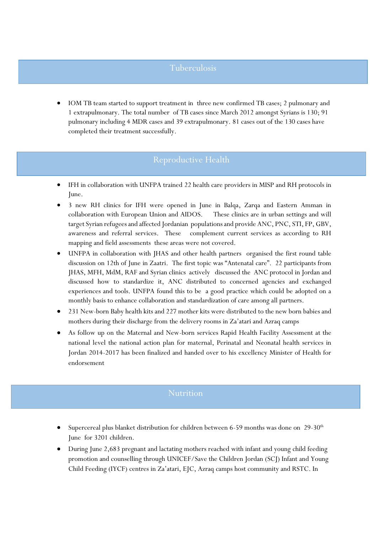## Tuberculosis

 IOM TB team started to support treatment in three new confirmed TB cases; 2 pulmonary and 1 extrapulmonary. The total number of TB cases since March 2012 amongst Syrians is 130; 91 pulmonary including 4 MDR cases and 39 extrapulmonary. 81 cases out of the 130 cases have completed their treatment successfully.

# Reproductive Health

- IFH in collaboration with UNFPA trained 22 health care providers in MISP and RH protocols in June.
- 3 new RH clinics for IFH were opened in June in Balqa, Zarqa and Eastern Amman in collaboration with European Union and AIDOS. These clinics are in urban settings and will target Syrian refugees and affected Jordanian populations and provide ANC, PNC, STI, FP, GBV, awareness and referral services. These complement current services as according to RH mapping and field assessments these areas were not covered.
- UNFPA in collaboration with JHAS and other health partners organised the first round table discussion on 12th of June in Zaatri. The first topic was "Antenatal care". 22 participants from JHAS, MFH, MdM, RAF and Syrian clinics actively discussed the ANC protocol in Jordan and discussed how to standardize it, ANC distributed to concerned agencies and exchanged experiences and tools. UNFPA found this to be a good practice which could be adopted on a monthly basis to enhance collaboration and standardization of care among all partners.
- 231 New-born Baby health kits and 227 mother kits were distributed to the new born babies and mothers during their discharge from the delivery rooms in Za'atari and Azraq camps
- As follow up on the Maternal and New-born services Rapid Health Facility Assessment at the national level the national action plan for maternal, Perinatal and Neonatal health services in Jordan 2014-2017 has been finalized and handed over to his excellency Minister of Health for endorsement

- Supercereal plus blanket distribution for children between 6-59 months was done on  $29-30<sup>th</sup>$ June for 3201 children.
- During June 2,683 pregnant and lactating mothers reached with infant and young child feeding promotion and counselling through UNICEF/Save the Children Jordan (SCJ) Infant and Young Child Feeding (IYCF) centres in Za'atari, EJC, Azraq camps host community and RSTC. In